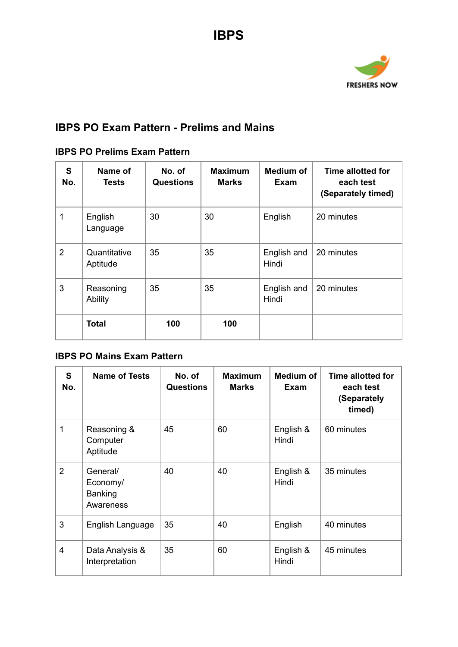

## **IBPS PO Exam Pattern - Prelims and Mains**

## **IBPS PO Prelims Exam Pattern**

| S<br>No.       | Name of<br>Tests         | No. of<br><b>Questions</b> | <b>Maximum</b><br><b>Marks</b> | <b>Medium of</b><br>Exam | Time allotted for<br>each test<br>(Separately timed) |
|----------------|--------------------------|----------------------------|--------------------------------|--------------------------|------------------------------------------------------|
|                | English<br>Language      | 30                         | 30                             | English                  | 20 minutes                                           |
| $\overline{2}$ | Quantitative<br>Aptitude | 35                         | 35                             | English and<br>Hindi     | 20 minutes                                           |
| 3              | Reasoning<br>Ability     | 35                         | 35                             | English and<br>Hindi     | 20 minutes                                           |
|                | <b>Total</b>             | 100                        | 100                            |                          |                                                      |

## **IBPS PO Mains Exam Pattern**

| S<br>No.       | <b>Name of Tests</b>                         | No. of<br><b>Questions</b> | <b>Maximum</b><br><b>Marks</b> | Medium of<br>Exam  | <b>Time allotted for</b><br>each test<br>(Separately<br>timed) |
|----------------|----------------------------------------------|----------------------------|--------------------------------|--------------------|----------------------------------------------------------------|
| 1              | Reasoning &<br>Computer<br>Aptitude          | 45                         | 60                             | English &<br>Hindi | 60 minutes                                                     |
| 2              | General/<br>Economy/<br>Banking<br>Awareness | 40                         | 40                             | English &<br>Hindi | 35 minutes                                                     |
| 3              | English Language                             | 35                         | 40                             | English            | 40 minutes                                                     |
| $\overline{4}$ | Data Analysis &<br>Interpretation            | 35                         | 60                             | English &<br>Hindi | 45 minutes                                                     |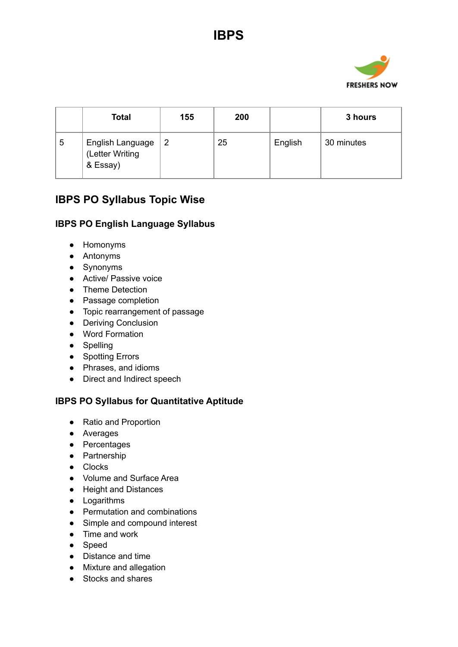

|   | <b>Total</b>                                    | 155 | 200 |         | 3 hours    |
|---|-------------------------------------------------|-----|-----|---------|------------|
| 5 | English Language<br>(Letter Writing<br>& Essay) | -2  | 25  | English | 30 minutes |

# **IBPS PO Syllabus Topic Wise**

#### **IBPS PO English Language Syllabus**

- Homonyms
- Antonyms
- Synonyms
- Active/ Passive voice
- Theme Detection
- Passage completion
- Topic rearrangement of passage
- Deriving Conclusion
- Word Formation
- Spelling
- Spotting Errors
- Phrases, and idioms
- Direct and Indirect speech

### **IBPS PO Syllabus for Quantitative Aptitude**

- Ratio and Proportion
- Averages
- Percentages
- Partnership
- Clocks
- Volume and Surface Area
- Height and Distances
- Logarithms
- Permutation and combinations
- Simple and compound interest
- Time and work
- Speed
- Distance and time
- Mixture and allegation
- Stocks and shares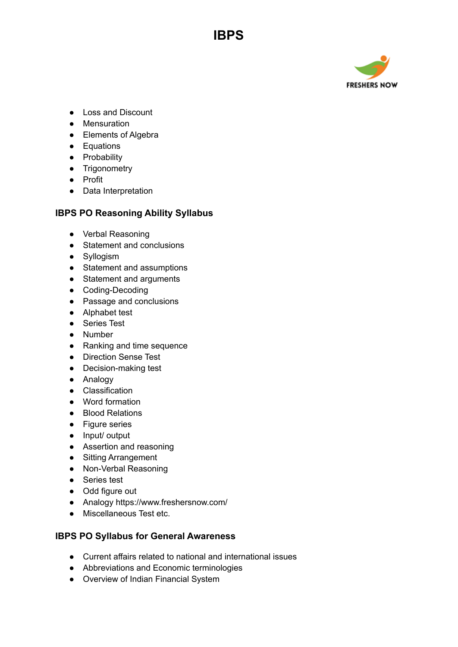

- Loss and Discount
- Mensuration
- Elements of Algebra
- Equations
- Probability
- **•** Trigonometry
- Profit
- Data Interpretation

#### **IBPS PO Reasoning Ability Syllabus**

**IBPS**

- Verbal Reasoning
- Statement and conclusions
- Syllogism
- Statement and assumptions
- Statement and arguments
- Coding-Decoding
- Passage and conclusions
- Alphabet test
- Series Test
- Number
- Ranking and time sequence
- Direction Sense Test
- Decision-making test
- Analogy
- Classification
- Word formation
- Blood Relations
- Figure series
- Input/ output
- Assertion and reasoning
- Sitting Arrangement
- Non-Verbal Reasoning
- Series test
- Odd figure out
- Analogy https://www.freshersnow.com/
- Miscellaneous Test etc.

#### **IBPS PO Syllabus for General Awareness**

- Current affairs related to national and international issues
- Abbreviations and Economic terminologies
- Overview of Indian Financial System